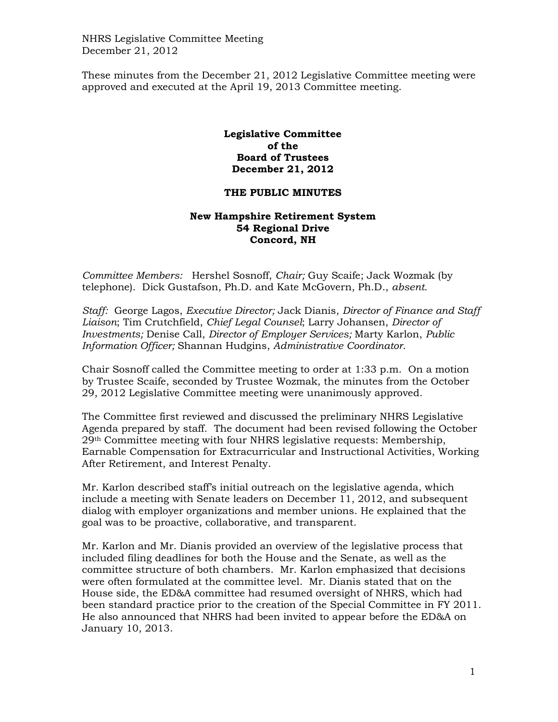NHRS Legislative Committee Meeting December 21, 2012

These minutes from the December 21, 2012 Legislative Committee meeting were approved and executed at the April 19, 2013 Committee meeting.

## **Legislative Committee of the Board of Trustees December 21, 2012**

## **THE PUBLIC MINUTES**

## **New Hampshire Retirement System 54 Regional Drive Concord, NH**

*Committee Members:* Hershel Sosnoff, *Chair;* Guy Scaife; Jack Wozmak (by telephone). Dick Gustafson, Ph.D. and Kate McGovern, Ph.D., *absent.* 

*Staff:* George Lagos, *Executive Director;* Jack Dianis, *Director of Finance and Staff Liaison*; Tim Crutchfield, *Chief Legal Counsel*; Larry Johansen, *Director of Investments;* Denise Call, *Director of Employer Services;* Marty Karlon, *Public Information Officer;* Shannan Hudgins, *Administrative Coordinator*.

Chair Sosnoff called the Committee meeting to order at 1:33 p.m. On a motion by Trustee Scaife, seconded by Trustee Wozmak, the minutes from the October 29, 2012 Legislative Committee meeting were unanimously approved.

The Committee first reviewed and discussed the preliminary NHRS Legislative Agenda prepared by staff. The document had been revised following the October 29th Committee meeting with four NHRS legislative requests: Membership, Earnable Compensation for Extracurricular and Instructional Activities, Working After Retirement, and Interest Penalty.

Mr. Karlon described staff's initial outreach on the legislative agenda, which include a meeting with Senate leaders on December 11, 2012, and subsequent dialog with employer organizations and member unions. He explained that the goal was to be proactive, collaborative, and transparent.

Mr. Karlon and Mr. Dianis provided an overview of the legislative process that included filing deadlines for both the House and the Senate, as well as the committee structure of both chambers. Mr. Karlon emphasized that decisions were often formulated at the committee level. Mr. Dianis stated that on the House side, the ED&A committee had resumed oversight of NHRS, which had been standard practice prior to the creation of the Special Committee in FY 2011. He also announced that NHRS had been invited to appear before the ED&A on January 10, 2013.